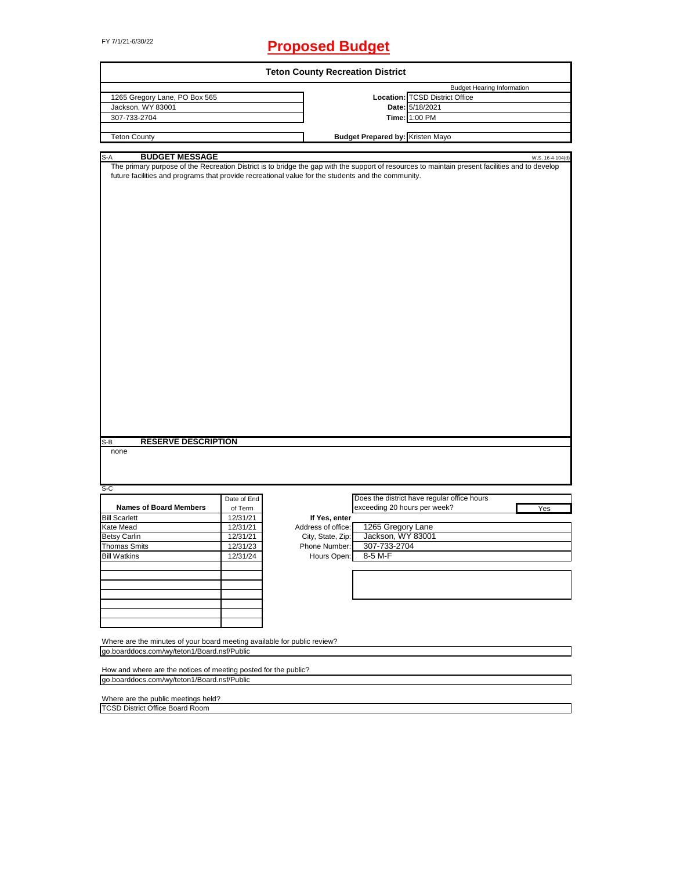# FY 7/1/21-6/30/22 **Proposed Budget**

| <b>Teton County Recreation District</b>                                  |             |                                                                                                                                                                                                                                                       |  |  |  |  |  |
|--------------------------------------------------------------------------|-------------|-------------------------------------------------------------------------------------------------------------------------------------------------------------------------------------------------------------------------------------------------------|--|--|--|--|--|
|                                                                          |             | <b>Budget Hearing Information</b>                                                                                                                                                                                                                     |  |  |  |  |  |
| 1265 Gregory Lane, PO Box 565                                            |             | Location: TCSD District Office                                                                                                                                                                                                                        |  |  |  |  |  |
| Jackson, WY 83001                                                        |             | Date: 5/18/2021                                                                                                                                                                                                                                       |  |  |  |  |  |
| 307-733-2704                                                             |             | Time: 1:00 PM                                                                                                                                                                                                                                         |  |  |  |  |  |
|                                                                          |             |                                                                                                                                                                                                                                                       |  |  |  |  |  |
| <b>Teton County</b>                                                      |             | <b>Budget Prepared by: Kristen Mayo</b>                                                                                                                                                                                                               |  |  |  |  |  |
| <b>BUDGET MESSAGE</b><br>S-A                                             |             | W.S. 16-4-104(d)                                                                                                                                                                                                                                      |  |  |  |  |  |
| <b>RESERVE DESCRIPTION</b><br>S-B<br>none                                |             | The primary purpose of the Recreation District is to bridge the gap with the support of resources to maintain present facilities and to develop<br>future facilities and programs that provide recreational value for the students and the community. |  |  |  |  |  |
|                                                                          |             |                                                                                                                                                                                                                                                       |  |  |  |  |  |
| S-C                                                                      | Date of End | Does the district have regular office hours                                                                                                                                                                                                           |  |  |  |  |  |
| <b>Names of Board Members</b>                                            | of Term     | exceeding 20 hours per week?<br>Yes                                                                                                                                                                                                                   |  |  |  |  |  |
| <b>Bill Scarlett</b>                                                     | 12/31/21    | If Yes, enter                                                                                                                                                                                                                                         |  |  |  |  |  |
| Kate Mead                                                                | 12/31/21    | 1265 Gregory Lane<br>Address of office:                                                                                                                                                                                                               |  |  |  |  |  |
| <b>Betsy Carlin</b>                                                      | 12/31/21    | Jackson, WY 83001<br>City, State, Zip:                                                                                                                                                                                                                |  |  |  |  |  |
|                                                                          |             |                                                                                                                                                                                                                                                       |  |  |  |  |  |
| <b>Thomas Smits</b>                                                      | 12/31/23    | 307-733-2704<br>Phone Number:                                                                                                                                                                                                                         |  |  |  |  |  |
| <b>Bill Watkins</b>                                                      | 12/31/24    | Hours Open:<br>8-5 M-F                                                                                                                                                                                                                                |  |  |  |  |  |
|                                                                          |             |                                                                                                                                                                                                                                                       |  |  |  |  |  |
|                                                                          |             |                                                                                                                                                                                                                                                       |  |  |  |  |  |
|                                                                          |             |                                                                                                                                                                                                                                                       |  |  |  |  |  |
|                                                                          |             |                                                                                                                                                                                                                                                       |  |  |  |  |  |
| Where are the minutes of your board meeting available for public review? |             |                                                                                                                                                                                                                                                       |  |  |  |  |  |
| go.boarddocs.com/wy/teton1/Board.nsf/Public                              |             |                                                                                                                                                                                                                                                       |  |  |  |  |  |
|                                                                          |             |                                                                                                                                                                                                                                                       |  |  |  |  |  |
| How and where are the notices of meeting posted for the public?          |             |                                                                                                                                                                                                                                                       |  |  |  |  |  |
| go.boarddocs.com/wy/teton1/Board.nsf/Public                              |             |                                                                                                                                                                                                                                                       |  |  |  |  |  |
| Where are the public meetings held?                                      |             |                                                                                                                                                                                                                                                       |  |  |  |  |  |
| <b>TCSD District Office Board Room</b>                                   |             |                                                                                                                                                                                                                                                       |  |  |  |  |  |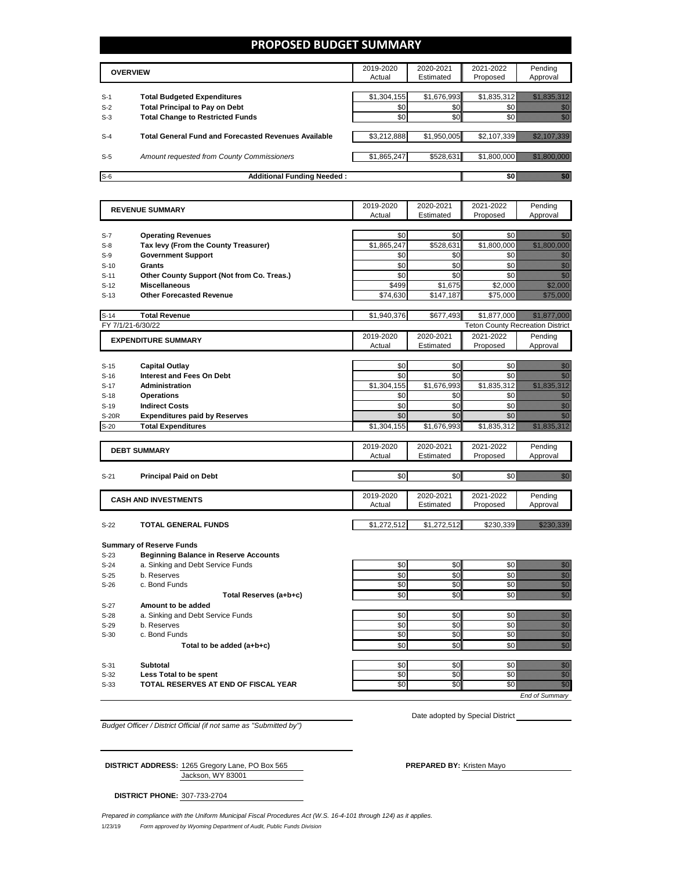#### **PROPOSED BUDGET SUMMARY**

|                | <b>OVERVIEW</b>                                                             | 2019-2020<br>Actual | 2020-2021<br>Estimated | 2021-2022<br>Proposed | Pending<br>Approval |
|----------------|-----------------------------------------------------------------------------|---------------------|------------------------|-----------------------|---------------------|
|                |                                                                             |                     |                        |                       |                     |
| $S-1$<br>$S-2$ | <b>Total Budgeted Expenditures</b><br><b>Total Principal to Pay on Debt</b> | \$1,304,155<br>\$0  | \$1,676,993<br>\$0     | \$1,835,312           |                     |
| $S-3$          | <b>Total Change to Restricted Funds</b>                                     | \$0                 | \$0                    |                       |                     |
| $S-4$          | <b>Total General Fund and Forecasted Revenues Available</b>                 | \$3,212,888         | \$1,950,005            | \$2,107,339           |                     |
| $S-5$          | Amount requested from County Commissioners                                  | \$1,865,247         | \$528,631              | \$1.800.000           |                     |
| $S-6$          | <b>Additional Funding Needed:</b>                                           |                     |                        |                       |                     |

|                  | <b>REVENUE SUMMARY</b>                       | 2019-2020   | 2020-2021   | 2021-2022                               | Pending                                                                                                                                                                                                                              |
|------------------|----------------------------------------------|-------------|-------------|-----------------------------------------|--------------------------------------------------------------------------------------------------------------------------------------------------------------------------------------------------------------------------------------|
|                  |                                              | Actual      | Estimated   | Proposed                                | Approval                                                                                                                                                                                                                             |
|                  |                                              |             |             |                                         |                                                                                                                                                                                                                                      |
| $S-7$            | <b>Operating Revenues</b>                    | \$0         | \$0         | \$0                                     | en 1999.<br>Statistike en statistike en delta statistike en statistike en statistike en statistike en statistike en statis<br>Statistike en statistike en statistike en statistike en statistike en statistike en statistike en stat |
| $S-8$            | Tax levy (From the County Treasurer)         | \$1,865,247 | \$528,631   | \$1,800,000                             | <u> Mariji (Mariji (Mariji (Mariji (Mariji (Mariji (Mariji (Mariji (Mariji (Mariji (Mariji (Mariji (Ma</u>                                                                                                                           |
| $S-9$            | <b>Government Support</b>                    | \$0         | \$0         | \$0                                     | <u>ti k</u>                                                                                                                                                                                                                          |
| $S-10$           | Grants                                       | \$0         | \$0         | \$0                                     | en de la familie de la familie de la familie de la familie de la familie de la familie de la familie de la fam<br>Estat de la familie de la familie de la familie de la familie de la familie de la familie de la familie de la      |
| $S-11$           | Other County Support (Not from Co. Treas.)   | \$0         | \$0         | \$0                                     | en de la familie de la familie de la familie de la familie de la familie de la familie de la familie de la fam<br>De la familie de la familie de la familie de la familie de la familie de la familie de la familie de la famili     |
| $S-12$           | <b>Miscellaneous</b>                         | \$499       | \$1,675     | \$2,000                                 | <u>mana</u>                                                                                                                                                                                                                          |
| $S-13$           | <b>Other Forecasted Revenue</b>              | \$74,630    | \$147,187   | \$75,000                                | <u>Maria Barat</u>                                                                                                                                                                                                                   |
| $S-14$           | <b>Total Revenue</b>                         | \$1,940,376 | \$677,493   | \$1,877,000                             | <u> Hillingar í Samsku</u>                                                                                                                                                                                                           |
|                  | FY 7/1/21-6/30/22                            |             |             | <b>Teton County Recreation District</b> |                                                                                                                                                                                                                                      |
|                  | <b>EXPENDITURE SUMMARY</b>                   | 2019-2020   | 2020-2021   | 2021-2022                               | Pending                                                                                                                                                                                                                              |
|                  |                                              | Actual      | Estimated   | Proposed                                | Approval                                                                                                                                                                                                                             |
|                  |                                              |             |             |                                         |                                                                                                                                                                                                                                      |
| $S-15$           | <b>Capital Outlay</b>                        | \$0         | \$0         | \$0                                     | en de la familie de la familie de la familie de la familie de la familie de la familie de la familie de la fam<br>Constituit de la familie de la familie de la familie de la familie de la familie de la familie de la familie d     |
| $S-16$           | <b>Interest and Fees On Debt</b>             | \$0         | \$0         | \$0                                     | en de la familie de la familie de la familie de la familie de la familie de la familie de la familie de la fa<br>De la familie de la familie de la familie de la familie de la familie de la familie de la familie de la famili      |
| $S-17$           | Administration                               | \$1,304,155 | \$1,676,993 | \$1,835,312                             | a a chuid ann an chuid ann an chuid ann an chuid ann an chuid ann an chuid ann an chuid ann an chuid ann an ch                                                                                                                       |
| $S-18$           | <b>Operations</b>                            | \$0         | \$0         | \$0                                     | e de la composición de la composición de la composición de la composición de la composición de la composición<br>Campo de la composición de la composición de la composición de la composición de la composición de la composic      |
| $S-19$           | <b>Indirect Costs</b>                        | \$0         | \$0         | \$0                                     |                                                                                                                                                                                                                                      |
| <b>S-20R</b>     | <b>Expenditures paid by Reserves</b>         | \$0         | \$0         | \$0                                     |                                                                                                                                                                                                                                      |
| $S-20$           | <b>Total Expenditures</b>                    | \$1,304,155 | \$1,676,993 | \$1,835,312                             | <u> Kollegarda (</u>                                                                                                                                                                                                                 |
|                  |                                              |             |             |                                         |                                                                                                                                                                                                                                      |
|                  | <b>DEBT SUMMARY</b>                          | 2019-2020   | 2020-2021   | 2021-2022                               | Pending                                                                                                                                                                                                                              |
|                  |                                              | Actual      | Estimated   | Proposed                                | Approval                                                                                                                                                                                                                             |
|                  |                                              |             |             |                                         |                                                                                                                                                                                                                                      |
| $S-21$           | <b>Principal Paid on Debt</b>                | \$0         | \$0         | \$0                                     | en de la familie de la familie de la familie de la familie de la familie de la familie de la familie de la fam<br>Estat de la familie de la familie de la familie de la familie de la familie de la familie de la familie de la      |
|                  |                                              | 2019-2020   | 2020-2021   | 2021-2022                               | Pending                                                                                                                                                                                                                              |
|                  | <b>CASH AND INVESTMENTS</b>                  | Actual      | Estimated   | Proposed                                | Approval                                                                                                                                                                                                                             |
|                  |                                              |             |             |                                         |                                                                                                                                                                                                                                      |
| $S-22$           | <b>TOTAL GENERAL FUNDS</b>                   |             |             |                                         |                                                                                                                                                                                                                                      |
|                  |                                              | \$1,272,512 | \$1,272,512 | \$230,339                               | a katika katika katika katika katika katika ali                                                                                                                                                                                      |
|                  |                                              |             |             |                                         |                                                                                                                                                                                                                                      |
|                  | <b>Summary of Reserve Funds</b>              |             |             |                                         |                                                                                                                                                                                                                                      |
| $S-23$           | <b>Beginning Balance in Reserve Accounts</b> |             |             |                                         |                                                                                                                                                                                                                                      |
| $S-24$           | a. Sinking and Debt Service Funds            | \$0         | \$0         | \$0                                     |                                                                                                                                                                                                                                      |
| $S-25$           | b. Reserves                                  | \$0         | \$0         | \$0                                     |                                                                                                                                                                                                                                      |
| $S-26$           | c. Bond Funds                                | \$0         | \$0         | \$0                                     | e de la falla de la falla de la falla de la falla de la falla de la falla de la falla de la falla de la falla<br>Espaina de la falla de la falla de la falla de la falla de la falla de la falla de la falla de la falla de la       |
|                  | Total Reserves (a+b+c)                       | \$0         | \$0         | \$0                                     | en de la filosofia<br>Altres de la filòla del control de la filòla de la filòla del control de la filòla de la filòla de la filòl<br>Maritime de la filòla de la filòla de la filòla de la filòla de la filòla de la filòla de la fi |
| $S-27$           | Amount to be added                           |             |             |                                         |                                                                                                                                                                                                                                      |
| $S-28$           | a. Sinking and Debt Service Funds            | \$0         | \$0         | \$0                                     |                                                                                                                                                                                                                                      |
| $S-29$           | b. Reserves                                  | \$0         | \$0         | \$0                                     |                                                                                                                                                                                                                                      |
| $S-30$           | c. Bond Funds                                | \$0         | \$0         | \$0                                     | en de la construction de la construction de la construction de la construction de la construction de la constr<br>Construction de la construction de la construction de la construction de la construction de la construction d      |
|                  | Total to be added (a+b+c)                    | \$0         | \$0         | \$0                                     | en de la familie de la familie de la familie de la familie de la familie de la familie de la familie de la fa<br>Concello de la familie de la familie de la familie de la familie de la familie de la familie de la familie de       |
|                  |                                              |             |             |                                         |                                                                                                                                                                                                                                      |
| $S-31$<br>$S-32$ | <b>Subtotal</b><br>Less Total to be spent    | \$0<br>\$0  | \$0<br>\$0  | \$0<br>\$0                              | e de la familia de la familia de la familia de la familia de la familia de la familia de la familia de la fami<br>Carlos de la familia de la familia de la familia de la familia de la familia de la familia de la familia de la     |

*Budget Officer / District Official (if not same as "Submitted by")*

Date adopted by Special District

*End of Summary*

Jackson, WY 83001 **DISTRICT ADDRESS:** 1265 Gregory Lane, PO Box 565 **PREPARED BY:** Kristen Mayo

**DISTRICT PHONE:** 307-733-2704

1/23/19 *Form approved by Wyoming Department of Audit, Public Funds Division Prepared in compliance with the Uniform Municipal Fiscal Procedures Act (W.S. 16-4-101 through 124) as it applies.*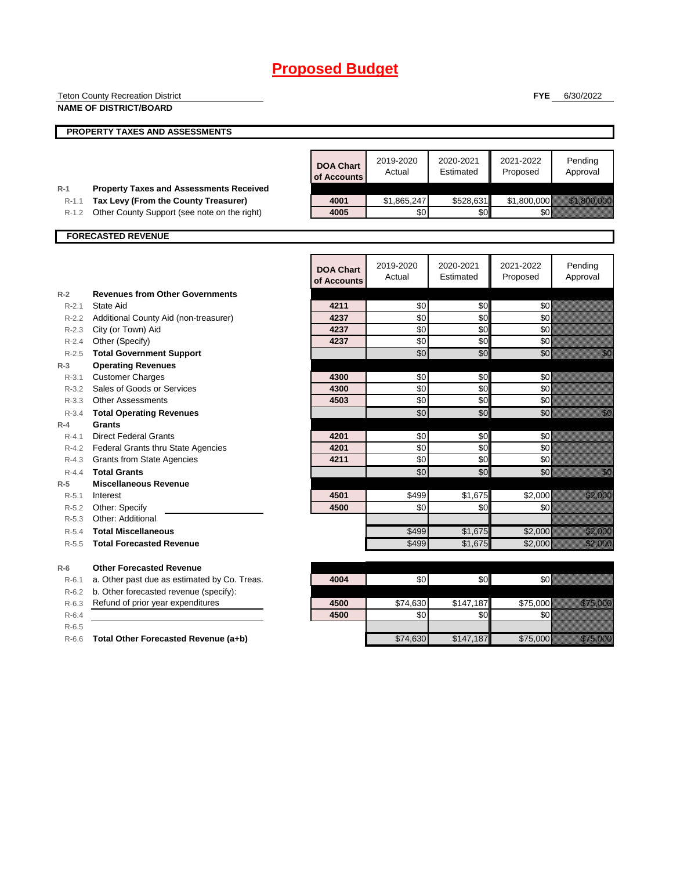|                    | <b>Teton County Recreation District</b>            |                  |                 |                  | <b>FYE</b>      | 6/30/2022                                                                                                                                                                                                                        |
|--------------------|----------------------------------------------------|------------------|-----------------|------------------|-----------------|----------------------------------------------------------------------------------------------------------------------------------------------------------------------------------------------------------------------------------|
|                    | <b>NAME OF DISTRICT/BOARD</b>                      |                  |                 |                  |                 |                                                                                                                                                                                                                                  |
|                    |                                                    |                  |                 |                  |                 |                                                                                                                                                                                                                                  |
|                    | PROPERTY TAXES AND ASSESSMENTS                     |                  |                 |                  |                 |                                                                                                                                                                                                                                  |
|                    |                                                    |                  |                 |                  |                 |                                                                                                                                                                                                                                  |
|                    |                                                    |                  | 2019-2020       | 2020-2021        | 2021-2022       | Pending                                                                                                                                                                                                                          |
|                    |                                                    | <b>DOA Chart</b> | Actual          | Estimated        | Proposed        | Approval                                                                                                                                                                                                                         |
|                    |                                                    | of Accounts      |                 |                  |                 |                                                                                                                                                                                                                                  |
| $R-1$              | <b>Property Taxes and Assessments Received</b>     |                  |                 |                  |                 |                                                                                                                                                                                                                                  |
| $R-1.1$            | Tax Levy (From the County Treasurer)               | 4001             | \$1,865,247     | \$528,631        | \$1,800,000     |                                                                                                                                                                                                                                  |
|                    | R-1.2 Other County Support (see note on the right) | 4005             | \$0             | \$0              | \$0             |                                                                                                                                                                                                                                  |
|                    | <b>FORECASTED REVENUE</b>                          |                  |                 |                  |                 |                                                                                                                                                                                                                                  |
|                    |                                                    |                  |                 |                  |                 |                                                                                                                                                                                                                                  |
|                    |                                                    |                  |                 |                  |                 |                                                                                                                                                                                                                                  |
|                    |                                                    | <b>DOA Chart</b> | 2019-2020       | 2020-2021        | 2021-2022       | Pending                                                                                                                                                                                                                          |
|                    |                                                    | of Accounts      | Actual          | Estimated        | Proposed        | Approval                                                                                                                                                                                                                         |
| $R-2$              | <b>Revenues from Other Governments</b>             |                  |                 |                  |                 |                                                                                                                                                                                                                                  |
| $R - 2.1$          | State Aid                                          | 4211             | \$0             | \$0              | \$0             |                                                                                                                                                                                                                                  |
| R-2.2              | Additional County Aid (non-treasurer)              | 4237             | \$0             | \$0              | \$0             |                                                                                                                                                                                                                                  |
| $R - 2.3$          | City (or Town) Aid                                 | 4237             | \$0             | \$0              | \$0             |                                                                                                                                                                                                                                  |
| R-2.4              | Other (Specify)                                    | 4237             | \$0             | \$0              | \$0             |                                                                                                                                                                                                                                  |
|                    | R-2.5 Total Government Support                     |                  | \$0             | \$0              | \$0             | e di Caraccione di San Barbara, Caraccione di San Barbara, San Barbara, San Barbara, San Barbara, San Barbara,<br>Nati                                                                                                           |
| $R-3$              | <b>Operating Revenues</b>                          |                  |                 |                  |                 |                                                                                                                                                                                                                                  |
| R-3.1              | <b>Customer Charges</b>                            | 4300             | \$0             | \$0              | \$0             |                                                                                                                                                                                                                                  |
| $R - 3.2$          | Sales of Goods or Services                         | 4300             | \$0             | \$0              | \$0             |                                                                                                                                                                                                                                  |
|                    | R-3.3 Other Assessments                            | 4503             | \$0             | \$0              | \$0             |                                                                                                                                                                                                                                  |
| $R-3.4$            | <b>Total Operating Revenues</b>                    |                  | \$0             | \$0              | \$0             | en de la facta de la facta de la facta de la facta de la facta de la facta de la facta de la facta de la facta<br>Constituir de la facta de la facta de la facta de la facta de la facta de la facta de la facta de la facta de  |
| $R-4$              | Grants                                             |                  |                 |                  |                 |                                                                                                                                                                                                                                  |
| $R - 4.1$          | <b>Direct Federal Grants</b>                       | 4201             | \$0             | \$0              | \$0             |                                                                                                                                                                                                                                  |
|                    | R-4.2 Federal Grants thru State Agencies           | 4201             | \$0             | \$0              | \$0             |                                                                                                                                                                                                                                  |
| R-4.3              | <b>Grants from State Agencies</b>                  | 4211             | \$0             | \$0              | \$0             |                                                                                                                                                                                                                                  |
| $R - 4.4$          | <b>Total Grants</b>                                |                  | \$0             | \$0              | \$0             | en de la familie de la familie de la familie de la familie de la familie de la familie de la familie de la fam<br>Constitution de la familie de la familie de la familie de la familie de la familie de la familie de la familie |
| $R-5$              | <b>Miscellaneous Revenue</b>                       |                  |                 |                  |                 |                                                                                                                                                                                                                                  |
| $R - 5.1$          | Interest                                           | 4501             | \$499           | \$1,675          | \$2,000         | <u>ti alikuwa kutoka mwaka wa m</u>                                                                                                                                                                                              |
| R-5.2              | Other: Specify                                     | 4500             | \$0             | \$0              | \$0             |                                                                                                                                                                                                                                  |
| $R - 5.3$          | Other: Additional                                  |                  |                 |                  |                 |                                                                                                                                                                                                                                  |
| $R - 5.4$          | <b>Total Miscellaneous</b>                         |                  | \$499           | \$1,675          | \$2,000         | <u> Hillisoon I</u>                                                                                                                                                                                                              |
| $R - 5.5$          | <b>Total Forecasted Revenue</b>                    |                  | \$499           | \$1,675          | \$2,000         | <u> Karlingan Sa</u>                                                                                                                                                                                                             |
|                    |                                                    |                  |                 |                  |                 |                                                                                                                                                                                                                                  |
| $R-6$              | <b>Other Forecasted Revenue</b>                    |                  |                 |                  |                 |                                                                                                                                                                                                                                  |
| $R - 6.1$          | a. Other past due as estimated by Co. Treas.       | 4004             | \$0             | \$0              | \$0             |                                                                                                                                                                                                                                  |
| R-6.2              | b. Other forecasted revenue (specify):             |                  |                 |                  |                 |                                                                                                                                                                                                                                  |
| $R-6.3$            | Refund of prior year expenditures                  | 4500<br>4500     | \$74,630<br>\$0 | \$147,187<br>\$0 | \$75,000<br>\$0 | <u>ellisti kontroll</u>                                                                                                                                                                                                          |
| $R-6.4$<br>$R-6.5$ |                                                    |                  |                 |                  |                 |                                                                                                                                                                                                                                  |
|                    | R-6.6 Total Other Forecasted Revenue (a+b)         |                  | \$74,630        | \$147,187        | \$75,000        | <u>e de la construcción de la construcción de la construcción de la construcción de la construcción de la constru</u>                                                                                                            |
|                    |                                                    |                  |                 |                  |                 |                                                                                                                                                                                                                                  |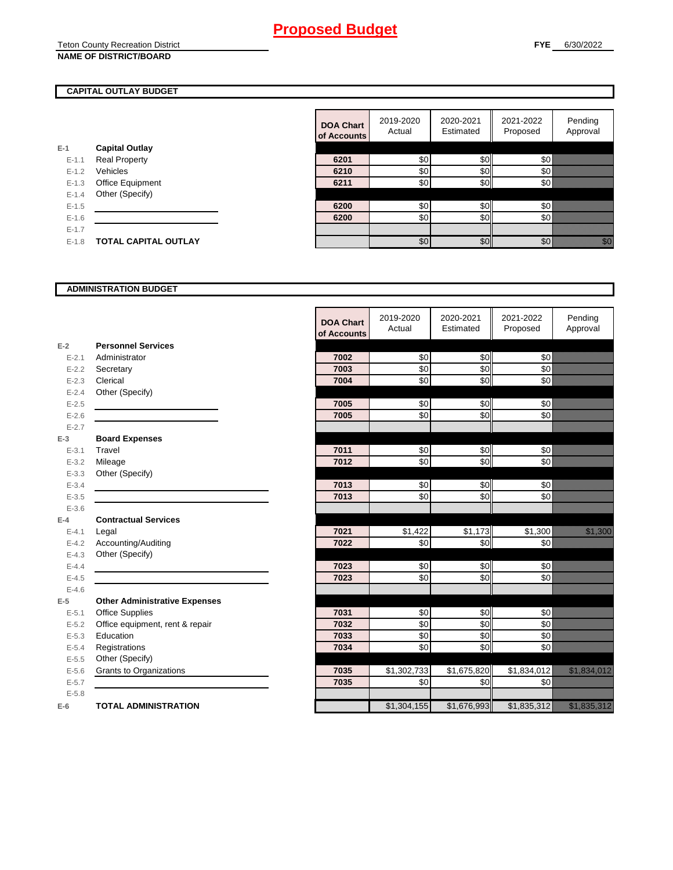## Teton County Recreation District

#### **CAPITAL OUTLAY BUDGET**

| E-1     | <b>Capital Outlay</b>       |
|---------|-----------------------------|
| $F-11$  | <b>Real Property</b>        |
| $F-12$  | Vehicles                    |
| $F-1.3$ | <b>Office Equipment</b>     |
| $F-14$  | Other (Specify)             |
| $F-1.5$ |                             |
| $F-16$  |                             |
| $F-17$  |                             |
| $F-1.8$ | <b>TOTAL CAPITAL OUTLAY</b> |
|         |                             |

|           |                             | <b>DOA Chart</b><br>of Accounts | 2019-2020<br>Actual | 2020-2021<br>Estimated | 2021-2022<br>Proposed | Pending<br>Approval                                                                                                                                                                                                             |
|-----------|-----------------------------|---------------------------------|---------------------|------------------------|-----------------------|---------------------------------------------------------------------------------------------------------------------------------------------------------------------------------------------------------------------------------|
|           | <b>Capital Outlay</b>       |                                 |                     |                        |                       |                                                                                                                                                                                                                                 |
| $E - 1.1$ | <b>Real Property</b>        | 6201                            | \$0                 | \$0                    | 50                    |                                                                                                                                                                                                                                 |
| $E - 1.2$ | Vehicles                    | 6210                            | \$0                 | \$0                    | 30 <sup>°</sup>       |                                                                                                                                                                                                                                 |
| $E - 1.3$ | Office Equipment            | 6211                            | \$0                 | \$0                    | \$0                   |                                                                                                                                                                                                                                 |
| $E-1.4$   | Other (Specify)             |                                 |                     |                        |                       |                                                                                                                                                                                                                                 |
| $E-1.5$   |                             | 6200                            | \$0                 | \$0                    | 50                    |                                                                                                                                                                                                                                 |
| $E - 1.6$ |                             | 6200                            | \$0                 | \$0                    | 30 <sup>l</sup>       |                                                                                                                                                                                                                                 |
| $E - 1.7$ |                             |                                 |                     |                        |                       |                                                                                                                                                                                                                                 |
| $E-1.8$   | <b>TOTAL CAPITAL OUTLAY</b> |                                 | \$0                 | \$0                    | \$0                   | en de la familie de la familie de la familie de la familie de la familie de la familie de la familie de la fam<br>Estat de la familie de la familie de la familie de la familie de la familie de la familie de la familie de la |

#### **ADMINISTRATION BUDGET**

|           |                                      | <b>DOA Chart</b><br>of Accounts | 2019-2020<br>Actual | 2020-2021<br>Estimated | 2021-2022<br>Proposed | Pending<br>Approval                                                                                                  |
|-----------|--------------------------------------|---------------------------------|---------------------|------------------------|-----------------------|----------------------------------------------------------------------------------------------------------------------|
| $E-2$     | <b>Personnel Services</b>            |                                 |                     |                        |                       |                                                                                                                      |
| $E - 2.1$ | Administrator                        | 7002                            | \$0                 | \$0                    | \$0                   |                                                                                                                      |
| $E - 2.2$ | Secretary                            | 7003                            | \$0                 | \$0                    | \$0                   |                                                                                                                      |
| $E - 2.3$ | Clerical                             | 7004                            | \$0                 | \$0                    | \$0                   |                                                                                                                      |
| $E - 2.4$ | Other (Specify)                      |                                 |                     |                        |                       |                                                                                                                      |
| $E - 2.5$ |                                      | 7005                            | \$0                 | \$0                    | \$0                   |                                                                                                                      |
| $E - 2.6$ |                                      | 7005                            | \$0                 | \$0                    | \$0                   |                                                                                                                      |
| $E - 2.7$ |                                      |                                 |                     |                        |                       |                                                                                                                      |
| $E-3$     | <b>Board Expenses</b>                |                                 |                     |                        |                       |                                                                                                                      |
| $E - 3.1$ | Travel                               | 7011                            | \$0                 | \$0                    | \$0                   |                                                                                                                      |
| $E - 3.2$ | Mileage                              | 7012                            | \$0                 | \$0                    | \$0                   |                                                                                                                      |
| $E - 3.3$ | Other (Specify)                      |                                 |                     |                        |                       |                                                                                                                      |
| $E - 3.4$ |                                      | 7013                            | \$0                 | \$0                    | \$0                   |                                                                                                                      |
| $E - 3.5$ |                                      | 7013                            | \$0                 | \$0                    | \$0                   |                                                                                                                      |
| $E - 3.6$ |                                      |                                 |                     |                        |                       |                                                                                                                      |
| $E-4$     | <b>Contractual Services</b>          |                                 |                     |                        |                       |                                                                                                                      |
| $E - 4.1$ | Legal                                | 7021                            | \$1,422             | \$1,173                | $\overline{$}1,300$   | <u> Karlin Sara</u>                                                                                                  |
| $E-4.2$   | Accounting/Auditing                  | 7022                            | \$0                 | \$0                    | \$0                   |                                                                                                                      |
| $E - 4.3$ | Other (Specify)                      |                                 |                     |                        |                       |                                                                                                                      |
| $E - 4.4$ |                                      | 7023                            | \$0                 | \$0                    | \$0                   |                                                                                                                      |
| $E-4.5$   |                                      | 7023                            | \$0                 | \$0                    | \$0                   |                                                                                                                      |
| $E-4.6$   |                                      |                                 |                     |                        |                       |                                                                                                                      |
| $E-5$     | <b>Other Administrative Expenses</b> |                                 |                     |                        |                       |                                                                                                                      |
| $E - 5.1$ | Office Supplies                      | 7031                            | \$0                 | \$0                    | \$0                   |                                                                                                                      |
| $E - 5.2$ | Office equipment, rent & repair      | 7032                            | \$0                 | \$0                    | \$0                   |                                                                                                                      |
| $E - 5.3$ | Education                            | 7033                            | \$0                 | \$0                    | $\frac{6}{3}$         |                                                                                                                      |
| $E - 5.4$ | Registrations                        | 7034                            | $\frac{6}{3}$       | \$0                    | $\frac{6}{3}$         |                                                                                                                      |
| $E-5.5$   | Other (Specify)                      |                                 |                     |                        |                       |                                                                                                                      |
| $E - 5.6$ | <b>Grants to Organizations</b>       | 7035                            | \$1,302,733         | \$1,675,820            | \$1,834,012           | <u> Kalèndher Grégorian (</u>                                                                                        |
| $E - 5.7$ |                                      | 7035                            | \$0                 | \$0                    | \$0                   |                                                                                                                      |
| $E - 5.8$ |                                      |                                 |                     |                        |                       |                                                                                                                      |
| $E-6$     | <b>TOTAL ADMINISTRATION</b>          |                                 | \$1,304,155         | \$1,676,993            | \$1,835,312           | <u> Karl Sarah Barat Barat Barat Barat Barat Barat Barat Barat Barat Barat Barat Barat Barat Barat Barat Barat B</u> |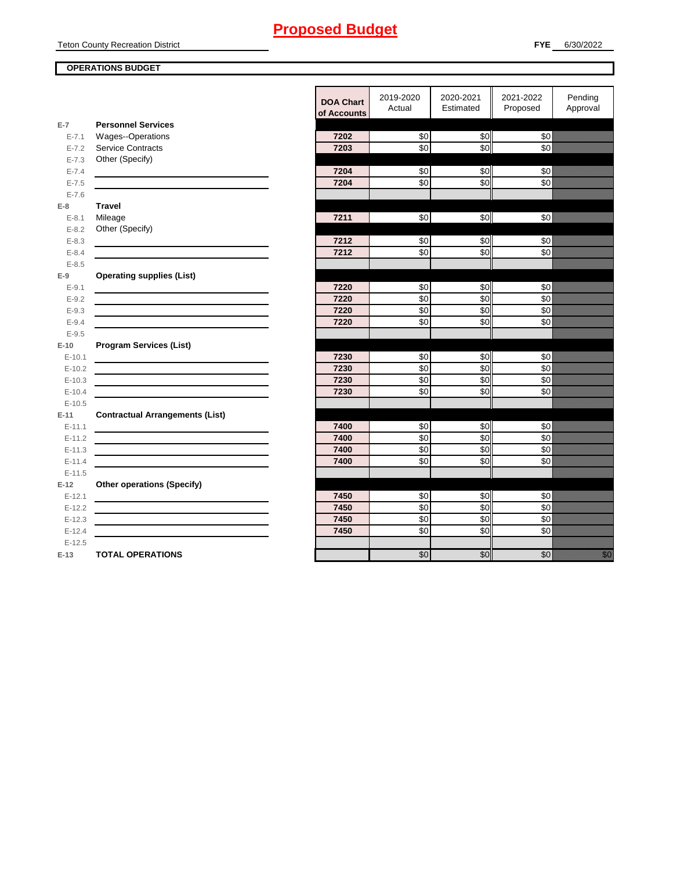Teton County Recreation District

#### **OPERATIONS BUDGET**

|                      |                                                                                           | <b>DOA Chart</b><br>of Accounts | 2019-2020<br>Actual | 2020-2021<br>Estimated | 2021-2022<br>Proposed | Pending<br>Approval |
|----------------------|-------------------------------------------------------------------------------------------|---------------------------------|---------------------|------------------------|-----------------------|---------------------|
| $E-7$                | <b>Personnel Services</b>                                                                 |                                 |                     |                        |                       |                     |
| $E - 7.1$            | <b>Wages--Operations</b>                                                                  | 7202                            | \$0                 | \$0                    | \$0                   |                     |
| $E - 7.2$            | <b>Service Contracts</b>                                                                  | 7203                            | \$0                 | \$0                    | \$0                   |                     |
| $E - 7.3$            | Other (Specify)                                                                           |                                 |                     |                        |                       |                     |
| $E - 7.4$            |                                                                                           | 7204                            | $\sqrt{6}$          | \$0                    | $\frac{6}{3}$         |                     |
| $E - 7.5$            |                                                                                           | 7204                            | \$0                 | $\overline{50}$        | \$0                   |                     |
| $E - 7.6$<br>$E-8$   | <b>Travel</b>                                                                             |                                 |                     |                        |                       |                     |
| $E - 8.1$            | Mileage                                                                                   | 7211                            | \$0                 | \$0                    | $\frac{6}{3}$         |                     |
| $E-8.2$              | Other (Specify)                                                                           |                                 |                     |                        |                       |                     |
| $E - 8.3$            |                                                                                           | 7212                            | \$0                 | \$0                    | \$0                   |                     |
| $E - 8.4$            |                                                                                           | 7212                            | \$0                 | \$0                    | \$0                   |                     |
| $E - 8.5$            |                                                                                           |                                 |                     |                        |                       |                     |
| $E-9$                | <b>Operating supplies (List)</b>                                                          |                                 |                     |                        |                       |                     |
| $E-9.1$              |                                                                                           | 7220                            | \$0                 | \$0                    | \$0                   |                     |
| $E - 9.2$            |                                                                                           | 7220                            | \$0                 | $\overline{30}$        | \$0                   |                     |
| $E - 9.3$            |                                                                                           | 7220                            | \$0                 | \$0                    | \$0                   |                     |
| $E - 9.4$            |                                                                                           | 7220                            | \$0                 | \$0                    | \$0                   |                     |
| $E - 9.5$            |                                                                                           |                                 |                     |                        |                       |                     |
| $E-10$               | <b>Program Services (List)</b>                                                            |                                 |                     |                        |                       |                     |
| $E-10.1$             |                                                                                           | 7230                            | \$0                 | \$0                    | \$0                   |                     |
| $E-10.2$             |                                                                                           | 7230<br>7230                    | \$0<br>\$0          | $\overline{30}$<br>\$0 | \$0<br>\$0            |                     |
| $E-10.3$<br>$E-10.4$ | the control of the control of the control of the control of the control of the control of | 7230                            | \$0                 | \$0                    | \$0                   |                     |
| $E-10.5$             |                                                                                           |                                 |                     |                        |                       |                     |
| $E-11$               | <b>Contractual Arrangements (List)</b>                                                    |                                 |                     |                        |                       |                     |
| $E-11.1$             |                                                                                           | 7400                            | \$0                 | \$0                    | \$0                   |                     |
| $E-11.2$             |                                                                                           | 7400                            | $\sqrt{6}$          | $\sqrt{6}$             | $\frac{6}{3}$         |                     |
| $E-11.3$             |                                                                                           | 7400                            | \$0                 | \$0                    | $\frac{6}{3}$         |                     |
| $E-11.4$             |                                                                                           | 7400                            | \$0                 | \$0                    | \$0                   |                     |
| $E-11.5$             |                                                                                           |                                 |                     |                        |                       |                     |
| $E-12$               | <b>Other operations (Specify)</b>                                                         |                                 |                     |                        |                       |                     |
| $E-12.1$             |                                                                                           | 7450                            | \$0                 | \$0                    | \$0                   |                     |
| $E-12.2$             |                                                                                           | 7450                            | \$0                 | \$0                    | \$0                   |                     |
| $E-12.3$             |                                                                                           | 7450                            | \$0                 | \$0                    | \$0                   |                     |
| $E-12.4$             |                                                                                           | 7450                            | \$0                 | \$0                    | \$0                   |                     |
| $E-12.5$             |                                                                                           |                                 |                     |                        |                       |                     |
| $E-13$               | <b>TOTAL OPERATIONS</b>                                                                   |                                 | $\overline{30}$     | \$0                    | \$0                   | erika<br>Manazarta  |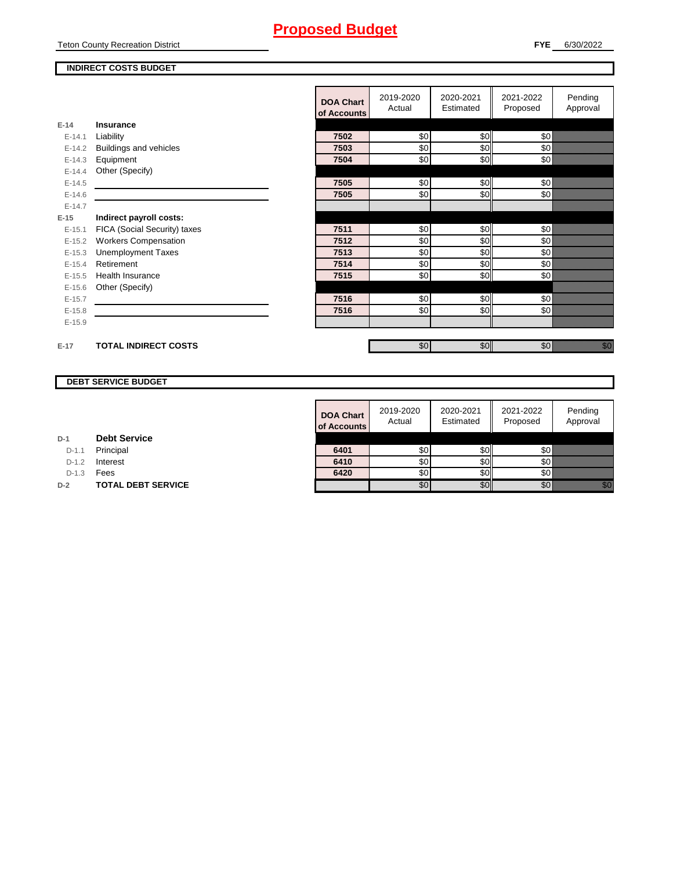Teton County Recreation District

#### **INDIRECT COSTS BUDGET**

|          |                              | <b>DOA Chart</b><br>of Accounts | 2019-2020<br>Actual | 2020-2021<br>Estimated | 2021-2022<br>Proposed | Pending<br>Approval                                                                                                            |
|----------|------------------------------|---------------------------------|---------------------|------------------------|-----------------------|--------------------------------------------------------------------------------------------------------------------------------|
| $E-14$   | Insurance                    |                                 |                     |                        |                       |                                                                                                                                |
| $E-14.1$ | Liability                    | 7502                            | \$0                 | \$0                    | \$0                   |                                                                                                                                |
| $E-14.2$ | Buildings and vehicles       | 7503                            | \$0                 | \$0                    | \$0                   |                                                                                                                                |
| $E-14.3$ | Equipment                    | 7504                            | \$0                 | \$0                    | \$0                   |                                                                                                                                |
| $E-14.4$ | Other (Specify)              |                                 |                     |                        |                       |                                                                                                                                |
| $E-14.5$ |                              | 7505                            | \$0                 | \$0                    | \$0                   |                                                                                                                                |
| $E-14.6$ |                              | 7505                            | \$0                 | \$0                    | \$0                   |                                                                                                                                |
| $E-14.7$ |                              |                                 |                     |                        |                       |                                                                                                                                |
| $E-15$   | Indirect payroll costs:      |                                 |                     |                        |                       |                                                                                                                                |
| $E-15.1$ | FICA (Social Security) taxes | 7511                            | \$0                 | \$0                    | \$0                   |                                                                                                                                |
| $E-15.2$ | <b>Workers Compensation</b>  | 7512                            | \$0                 | \$0                    | \$0                   |                                                                                                                                |
| $E-15.3$ | <b>Unemployment Taxes</b>    | 7513                            | \$0                 | \$0                    | \$0                   |                                                                                                                                |
| $E-15.4$ | Retirement                   | 7514                            | \$0                 | \$0                    | \$0                   |                                                                                                                                |
| $E-15.5$ | <b>Health Insurance</b>      | 7515                            | \$0                 | \$0                    | \$0                   |                                                                                                                                |
| $E-15.6$ | Other (Specify)              |                                 |                     |                        |                       |                                                                                                                                |
| $E-15.7$ |                              | 7516                            | \$0                 | \$0                    | \$0                   |                                                                                                                                |
| $E-15.8$ |                              | 7516                            | \$0                 | \$0                    | \$0                   |                                                                                                                                |
| $E-15.9$ |                              |                                 |                     |                        |                       |                                                                                                                                |
|          |                              |                                 |                     |                        |                       |                                                                                                                                |
| $E-17$   | <b>TOTAL INDIRECT COSTS</b>  |                                 | \$0                 | \$0                    | \$0                   | en de la facta de la facta de la facta de la facta de la facta de la facta de la facta de la facta de la facta<br>Contradición |

#### **DEBT SERVICE BUDGET**

|         |                           | <b>DOA Chart</b><br>of Accounts | 2019-2020<br>Actual | 2020-2021<br>Estimated | 2021-2022<br>Proposed | Pending<br>Approval |
|---------|---------------------------|---------------------------------|---------------------|------------------------|-----------------------|---------------------|
|         | <b>Debt Service</b>       |                                 |                     |                        |                       |                     |
| $D-1.1$ | Principal                 | 6401                            | \$0                 | \$0I                   | \$0                   |                     |
| $D-1.2$ | Interest                  | 6410                            | \$0                 | SOI                    | \$0                   |                     |
| $D-1.3$ | Fees                      | 6420                            | \$0                 | SOII                   | 80 ®                  |                     |
|         | <b>TOTAL DEBT SERVICE</b> |                                 | \$0                 | \$0                    | \$0                   | i kilik             |

**D-1 Debt Service**

D-1.1 **Principal** 

D-1.2 **Interest** 

**D-2 TOTAL DEBT SERVICE**